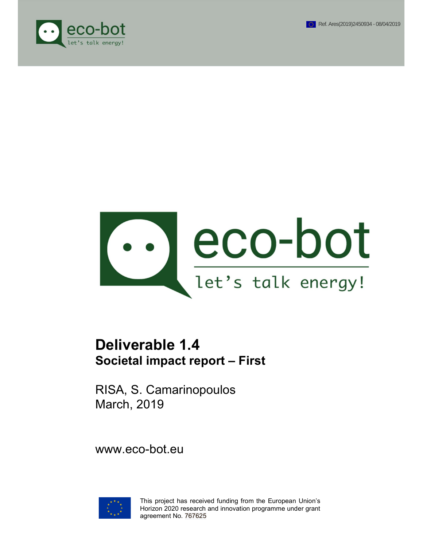





# Deliverable 1.4 Societal impact report – First

RISA, S. Camarinopoulos March, 2019

www.eco-bot.eu



This project has received funding from the European Union's Horizon 2020 research and innovation programme under grant agreement No. 767625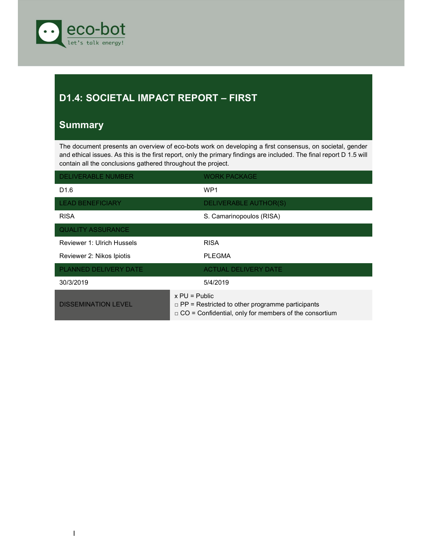

## D1.4: SOCIETAL IMPACT REPORT – FIRST

## **Summary**

The document presents an overview of eco-bots work on developing a first consensus, on societal, gender and ethical issues. As this is the first report, only the primary findings are included. The final report D 1.5 will contain all the conclusions gathered throughout the project.

| <b>DELIVERABLE NUMBER</b>  | <b>WORK PACKAGE</b>                                                                                                                       |
|----------------------------|-------------------------------------------------------------------------------------------------------------------------------------------|
| D <sub>1.6</sub>           | WP <sub>1</sub>                                                                                                                           |
| <b>LEAD BENEFICIARY</b>    | <b>DELIVERABLE AUTHOR(S)</b>                                                                                                              |
| <b>RISA</b>                | S. Camarinopoulos (RISA)                                                                                                                  |
| <b>QUALITY ASSURANCE</b>   |                                                                                                                                           |
| Reviewer 1: Ulrich Hussels | <b>RISA</b>                                                                                                                               |
| Reviewer 2: Nikos Ipiotis  | <b>PLEGMA</b>                                                                                                                             |
| PLANNED DELIVERY DATE      | <b>ACTUAL DELIVERY DATE</b>                                                                                                               |
| 30/3/2019                  | 5/4/2019                                                                                                                                  |
| <b>DISSEMINATION LEVEL</b> | $x$ PU = Public<br>$\Box$ PP = Restricted to other programme participants<br>$\Box$ CO = Confidential, only for members of the consortium |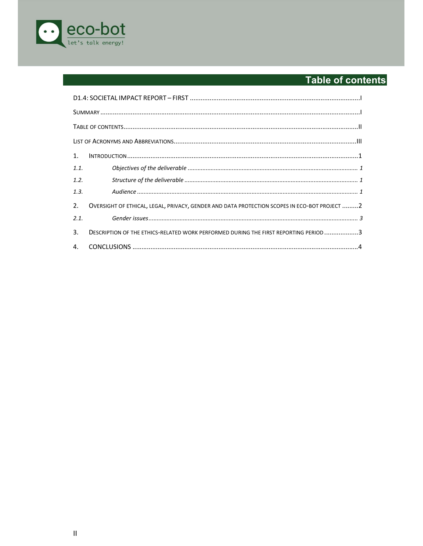

## **Table of contents**

| 1.   |                                                                                              |  |
|------|----------------------------------------------------------------------------------------------|--|
| 1.1. |                                                                                              |  |
| 1.2. |                                                                                              |  |
| 1.3. |                                                                                              |  |
| 2.   | OVERSIGHT OF ETHICAL, LEGAL, PRIVACY, GENDER AND DATA PROTECTION SCOPES IN ECO-BOT PROJECT 2 |  |
| 2.1. |                                                                                              |  |
| 3.   | DESCRIPTION OF THE ETHICS-RELATED WORK PERFORMED DURING THE FIRST REPORTING PERIOD 3         |  |
|      |                                                                                              |  |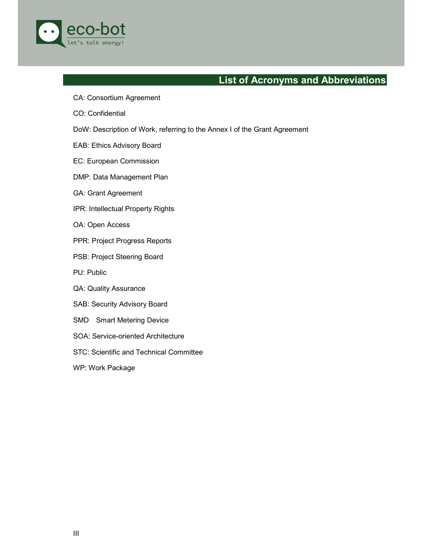

#### List of Acronyms and Abbreviations

- CA: Consortium Agreement
- CO: Confidential
- DoW: Description of Work, referring to the Annex I of the Grant Agreement
- EAB: Ethics Advisory Board
- EC: European Commission
- DMP: Data Management Plan
- GA: Grant Agreement
- IPR: Intellectual Property Rights
- OA: Open Access
- PPR: Project Progress Reports
- PSB: Project Steering Board
- PU: Public
- QA: Quality Assurance
- SAB: Security Advisory Board
- SMD Smart Metering Device
- SOA: Service-oriented Architecture
- STC: Scientific and Technical Committee
- WP: Work Package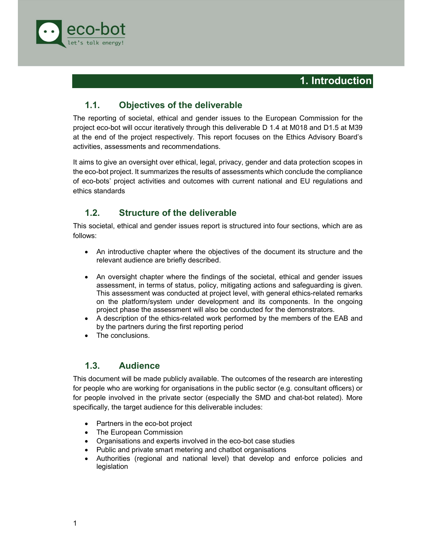

#### 1.1. Objectives of the deliverable

The reporting of societal, ethical and gender issues to the European Commission for the project eco-bot will occur iteratively through this deliverable D 1.4 at M018 and D1.5 at M39 at the end of the project respectively. This report focuses on the Ethics Advisory Board's activities, assessments and recommendations.

It aims to give an oversight over ethical, legal, privacy, gender and data protection scopes in the eco-bot project. It summarizes the results of assessments which conclude the compliance of eco-bots' project activities and outcomes with current national and EU regulations and ethics standards

#### 1.2. Structure of the deliverable

This societal, ethical and gender issues report is structured into four sections, which are as follows:

- An introductive chapter where the objectives of the document its structure and the relevant audience are briefly described.
- An oversight chapter where the findings of the societal, ethical and gender issues assessment, in terms of status, policy, mitigating actions and safeguarding is given. This assessment was conducted at project level, with general ethics-related remarks on the platform/system under development and its components. In the ongoing project phase the assessment will also be conducted for the demonstrators.
- A description of the ethics-related work performed by the members of the EAB and by the partners during the first reporting period
- The conclusions

#### 1.3. Audience

This document will be made publicly available. The outcomes of the research are interesting for people who are working for organisations in the public sector (e.g. consultant officers) or for people involved in the private sector (especially the SMD and chat-bot related). More specifically, the target audience for this deliverable includes:

- Partners in the eco-bot project
- The European Commission
- Organisations and experts involved in the eco-bot case studies
- Public and private smart metering and chatbot organisations
- Authorities (regional and national level) that develop and enforce policies and legislation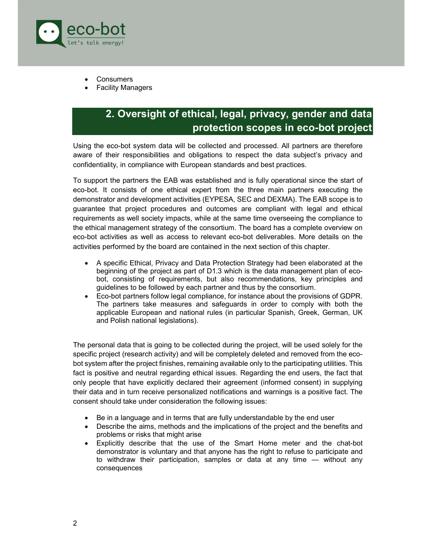

- Consumers
- Facility Managers

## 2. Oversight of ethical, legal, privacy, gender and data protection scopes in eco-bot project

Using the eco-bot system data will be collected and processed. All partners are therefore aware of their responsibilities and obligations to respect the data subject's privacy and confidentiality, in compliance with European standards and best practices.

To support the partners the EAB was established and is fully operational since the start of eco-bot. It consists of one ethical expert from the three main partners executing the demonstrator and development activities (EYPESA, SEC and DEXMA). The EAB scope is to guarantee that project procedures and outcomes are compliant with legal and ethical requirements as well society impacts, while at the same time overseeing the compliance to the ethical management strategy of the consortium. The board has a complete overview on eco-bot activities as well as access to relevant eco-bot deliverables. More details on the activities performed by the board are contained in the next section of this chapter.

- A specific Ethical, Privacy and Data Protection Strategy had been elaborated at the beginning of the project as part of D1.3 which is the data management plan of ecobot, consisting of requirements, but also recommendations, key principles and guidelines to be followed by each partner and thus by the consortium.
- Eco-bot partners follow legal compliance, for instance about the provisions of GDPR. The partners take measures and safeguards in order to comply with both the applicable European and national rules (in particular Spanish, Greek, German, UK and Polish national legislations).

The personal data that is going to be collected during the project, will be used solely for the specific project (research activity) and will be completely deleted and removed from the ecobot system after the project finishes, remaining available only to the participating utilities. This fact is positive and neutral regarding ethical issues. Regarding the end users, the fact that only people that have explicitly declared their agreement (informed consent) in supplying their data and in turn receive personalized notifications and warnings is a positive fact. The consent should take under consideration the following issues:

- Be in a language and in terms that are fully understandable by the end user
- Describe the aims, methods and the implications of the project and the benefits and problems or risks that might arise
- Explicitly describe that the use of the Smart Home meter and the chat-bot demonstrator is voluntary and that anyone has the right to refuse to participate and to withdraw their participation, samples or data at any time — without any consequences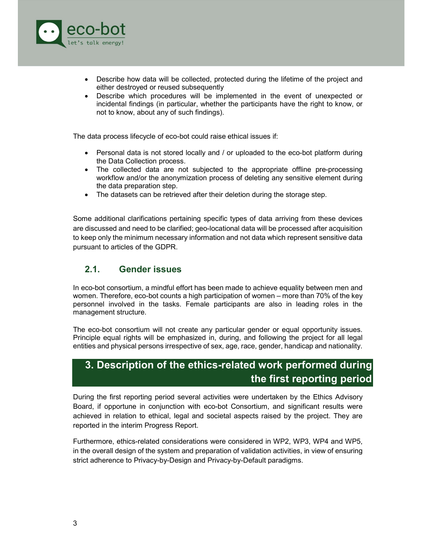

- Describe how data will be collected, protected during the lifetime of the project and either destroyed or reused subsequently
- Describe which procedures will be implemented in the event of unexpected or incidental findings (in particular, whether the participants have the right to know, or not to know, about any of such findings).

The data process lifecycle of eco-bot could raise ethical issues if:

- Personal data is not stored locally and / or uploaded to the eco-bot platform during the Data Collection process.
- The collected data are not subjected to the appropriate offline pre-processing workflow and/or the anonymization process of deleting any sensitive element during the data preparation step.
- The datasets can be retrieved after their deletion during the storage step.

Some additional clarifications pertaining specific types of data arriving from these devices are discussed and need to be clarified; geo-locational data will be processed after acquisition to keep only the minimum necessary information and not data which represent sensitive data pursuant to articles of the GDPR.

#### 2.1. Gender issues

In eco-bot consortium, a mindful effort has been made to achieve equality between men and women. Therefore, eco-bot counts a high participation of women – more than 70% of the key personnel involved in the tasks. Female participants are also in leading roles in the management structure.

The eco-bot consortium will not create any particular gender or equal opportunity issues. Principle equal rights will be emphasized in, during, and following the project for all legal entities and physical persons irrespective of sex, age, race, gender, handicap and nationality.

### 3. Description of the ethics-related work performed during the first reporting period

During the first reporting period several activities were undertaken by the Ethics Advisory Board, if opportune in conjunction with eco-bot Consortium, and significant results were achieved in relation to ethical, legal and societal aspects raised by the project. They are reported in the interim Progress Report.

Furthermore, ethics-related considerations were considered in WP2, WP3, WP4 and WP5, in the overall design of the system and preparation of validation activities, in view of ensuring strict adherence to Privacy-by-Design and Privacy-by-Default paradigms.